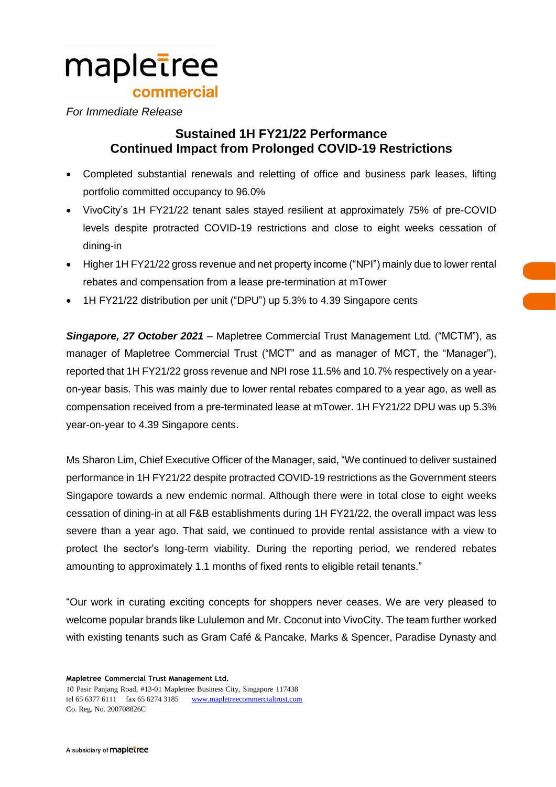# mapletree commercial

## *For Immediate Release*

## **Sustained 1H FY21/22 Performance Continued Impact from Prolonged COVID-19 Restrictions**

- Completed substantial renewals and reletting of office and business park leases, lifting portfolio committed occupancy to 96.0%
- VivoCity's 1H FY21/22 tenant sales stayed resilient at approximately 75% of pre-COVID levels despite protracted COVID-19 restrictions and close to eight weeks cessation of dining-in
- Higher 1H FY21/22 gross revenue and net property income ("NPI") mainly due to lower rental rebates and compensation from a lease pre-termination at mTower
- 1H FY21/22 distribution per unit ("DPU") up 5.3% to 4.39 Singapore cents

*Singapore, 27 October 2021* – Mapletree Commercial Trust Management Ltd. ("MCTM"), as manager of Mapletree Commercial Trust ("MCT" and as manager of MCT, the "Manager"), reported that 1H FY21/22 gross revenue and NPI rose 11.5% and 10.7% respectively on a yearon-year basis. This was mainly due to lower rental rebates compared to a year ago, as well as compensation received from a pre-terminated lease at mTower. 1H FY21/22 DPU was up 5.3% year-on-year to 4.39 Singapore cents.

Ms Sharon Lim, Chief Executive Officer of the Manager, said, "We continued to deliver sustained performance in 1H FY21/22 despite protracted COVID-19 restrictions as the Government steers Singapore towards a new endemic normal. Although there were in total close to eight weeks cessation of dining-in at all F&B establishments during 1H FY21/22, the overall impact was less severe than a year ago. That said, we continued to provide rental assistance with a view to protect the sector's long-term viability. During the reporting period, we rendered rebates amounting to approximately 1.1 months of fixed rents to eligible retail tenants."

"Our work in curating exciting concepts for shoppers never ceases. We are very pleased to welcome popular brands like Lululemon and Mr. Coconut into VivoCity. The team further worked with existing tenants such as Gram Café & Pancake, Marks & Spencer, Paradise Dynasty and

**Mapletree Commercial Trust Management Ltd.**

10 Pasir Panjang Road, #13-01 Mapletree Business City, Singapore 117438 tel 65 6377 6111 fax 65 6274 3185 [www.mapletreecommercialtrust.com](http://www.mapletree.com.sg/) Co. Reg. No. 200708826C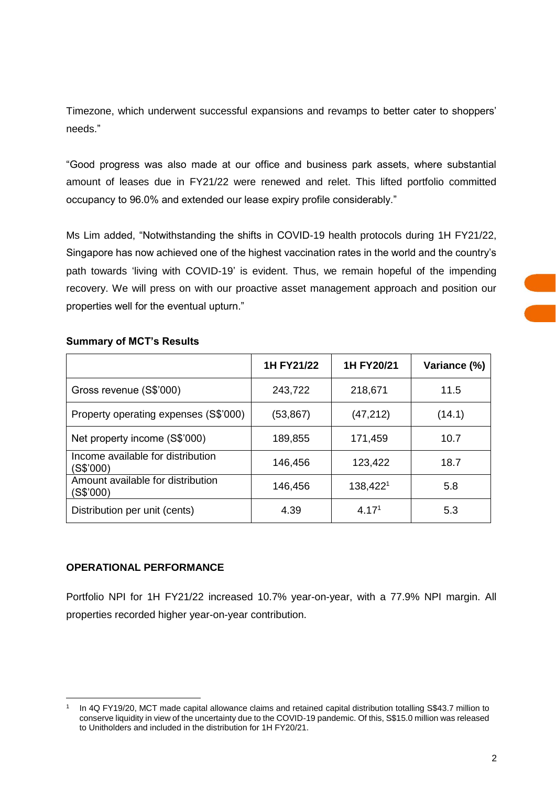Timezone, which underwent successful expansions and revamps to better cater to shoppers' needs."

"Good progress was also made at our office and business park assets, where substantial amount of leases due in FY21/22 were renewed and relet. This lifted portfolio committed occupancy to 96.0% and extended our lease expiry profile considerably."

Ms Lim added, "Notwithstanding the shifts in COVID-19 health protocols during 1H FY21/22, Singapore has now achieved one of the highest vaccination rates in the world and the country's path towards 'living with COVID-19' is evident. Thus, we remain hopeful of the impending recovery. We will press on with our proactive asset management approach and position our properties well for the eventual upturn."

## **Summary of MCT's Results**

|                                                | 1H FY21/22 | 1H FY20/21        | Variance (%) |
|------------------------------------------------|------------|-------------------|--------------|
| Gross revenue (S\$'000)                        | 243,722    | 218,671           | 11.5         |
| Property operating expenses (S\$'000)          | (53,867)   | (47, 212)         | (14.1)       |
| Net property income (S\$'000)                  | 189,855    | 171,459           | 10.7         |
| Income available for distribution<br>(S\$'000) | 146,456    | 123,422           | 18.7         |
| Amount available for distribution<br>(S\$'000) | 146,456    | 138,4221          | 5.8          |
| Distribution per unit (cents)                  | 4.39       | 4.17 <sup>1</sup> | 5.3          |

## **OPERATIONAL PERFORMANCE**

 $\overline{a}$ 

Portfolio NPI for 1H FY21/22 increased 10.7% year-on-year, with a 77.9% NPI margin. All properties recorded higher year-on-year contribution.

<sup>1</sup> In 4Q FY19/20, MCT made capital allowance claims and retained capital distribution totalling S\$43.7 million to conserve liquidity in view of the uncertainty due to the COVID-19 pandemic. Of this, S\$15.0 million was released to Unitholders and included in the distribution for 1H FY20/21.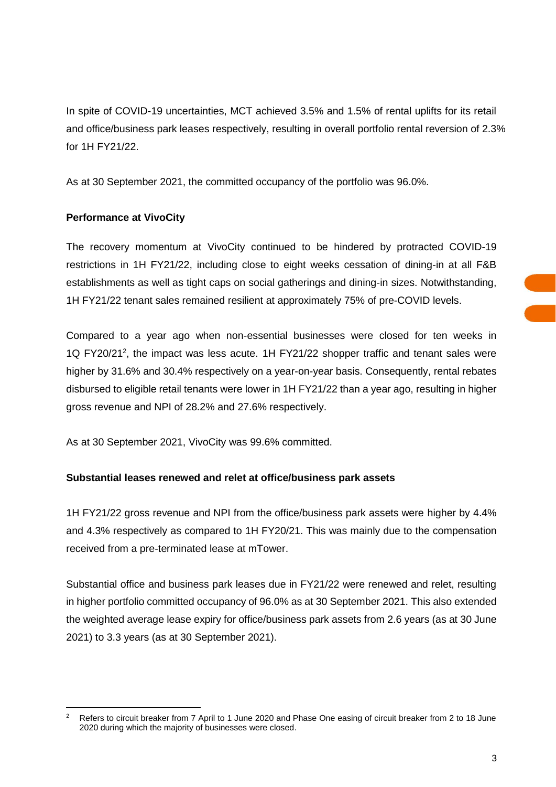In spite of COVID-19 uncertainties, MCT achieved 3.5% and 1.5% of rental uplifts for its retail and office/business park leases respectively, resulting in overall portfolio rental reversion of 2.3% for 1H FY21/22.

As at 30 September 2021, the committed occupancy of the portfolio was 96.0%.

## **Performance at VivoCity**

The recovery momentum at VivoCity continued to be hindered by protracted COVID-19 restrictions in 1H FY21/22, including close to eight weeks cessation of dining-in at all F&B establishments as well as tight caps on social gatherings and dining-in sizes. Notwithstanding, 1H FY21/22 tenant sales remained resilient at approximately 75% of pre-COVID levels.

Compared to a year ago when non-essential businesses were closed for ten weeks in 1Q FY20/21<sup>2</sup> , the impact was less acute. 1H FY21/22 shopper traffic and tenant sales were higher by 31.6% and 30.4% respectively on a year-on-year basis. Consequently, rental rebates disbursed to eligible retail tenants were lower in 1H FY21/22 than a year ago, resulting in higher gross revenue and NPI of 28.2% and 27.6% respectively.

As at 30 September 2021, VivoCity was 99.6% committed.

## **Substantial leases renewed and relet at office/business park assets**

1H FY21/22 gross revenue and NPI from the office/business park assets were higher by 4.4% and 4.3% respectively as compared to 1H FY20/21. This was mainly due to the compensation received from a pre-terminated lease at mTower.

Substantial office and business park leases due in FY21/22 were renewed and relet, resulting in higher portfolio committed occupancy of 96.0% as at 30 September 2021. This also extended the weighted average lease expiry for office/business park assets from 2.6 years (as at 30 June 2021) to 3.3 years (as at 30 September 2021).

 $\overline{a}$ <sup>2</sup> Refers to circuit breaker from 7 April to 1 June 2020 and Phase One easing of circuit breaker from 2 to 18 June 2020 during which the majority of businesses were closed.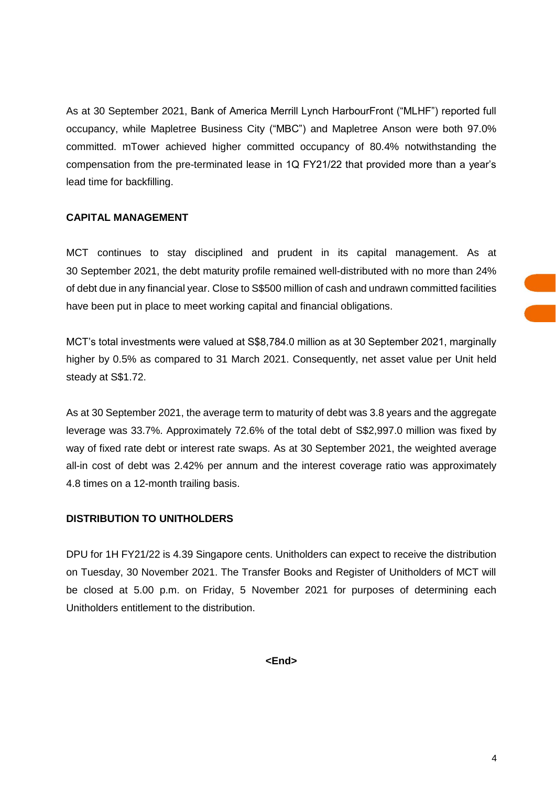As at 30 September 2021, Bank of America Merrill Lynch HarbourFront ("MLHF") reported full occupancy, while Mapletree Business City ("MBC") and Mapletree Anson were both 97.0% committed. mTower achieved higher committed occupancy of 80.4% notwithstanding the compensation from the pre-terminated lease in 1Q FY21/22 that provided more than a year's lead time for backfilling.

## **CAPITAL MANAGEMENT**

MCT continues to stay disciplined and prudent in its capital management. As at 30 September 2021, the debt maturity profile remained well-distributed with no more than 24% of debt due in any financial year. Close to S\$500 million of cash and undrawn committed facilities have been put in place to meet working capital and financial obligations.

MCT's total investments were valued at S\$8,784.0 million as at 30 September 2021, marginally higher by 0.5% as compared to 31 March 2021. Consequently, net asset value per Unit held steady at S\$1.72.

As at 30 September 2021, the average term to maturity of debt was 3.8 years and the aggregate leverage was 33.7%. Approximately 72.6% of the total debt of S\$2,997.0 million was fixed by way of fixed rate debt or interest rate swaps. As at 30 September 2021, the weighted average all-in cost of debt was 2.42% per annum and the interest coverage ratio was approximately 4.8 times on a 12-month trailing basis.

## **DISTRIBUTION TO UNITHOLDERS**

DPU for 1H FY21/22 is 4.39 Singapore cents. Unitholders can expect to receive the distribution on Tuesday, 30 November 2021. The Transfer Books and Register of Unitholders of MCT will be closed at 5.00 p.m. on Friday, 5 November 2021 for purposes of determining each Unitholders entitlement to the distribution.

**<End>**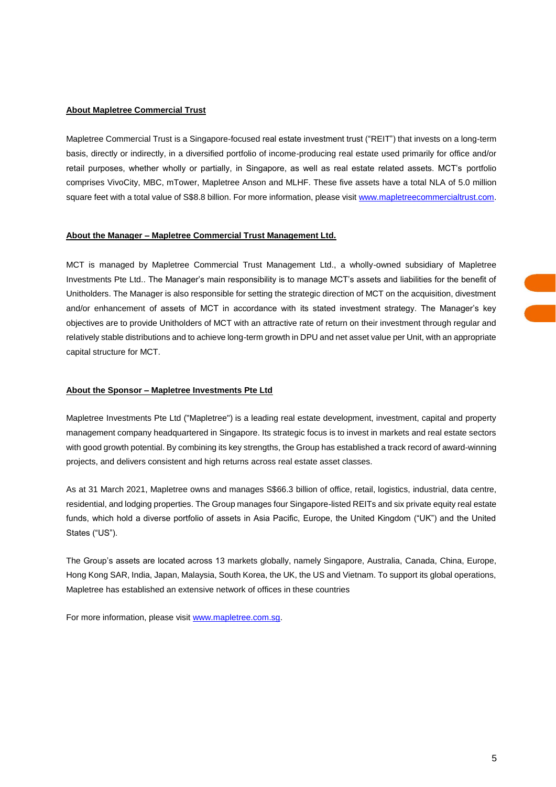#### **About Mapletree Commercial Trust**

Mapletree Commercial Trust is a Singapore-focused real estate investment trust ("REIT") that invests on a long-term basis, directly or indirectly, in a diversified portfolio of income-producing real estate used primarily for office and/or retail purposes, whether wholly or partially, in Singapore, as well as real estate related assets. MCT's portfolio comprises VivoCity, MBC, mTower, Mapletree Anson and MLHF. These five assets have a total NLA of 5.0 million square feet with a total value of S\$8.8 billion. For more information, please visit [www.mapletreecommercialtrust.com.](http://www.mapletreecommercialtrust.com/)

#### **About the Manager – Mapletree Commercial Trust Management Ltd.**

MCT is managed by Mapletree Commercial Trust Management Ltd., a wholly-owned subsidiary of Mapletree Investments Pte Ltd.. The Manager's main responsibility is to manage MCT's assets and liabilities for the benefit of Unitholders. The Manager is also responsible for setting the strategic direction of MCT on the acquisition, divestment and/or enhancement of assets of MCT in accordance with its stated investment strategy. The Manager's key objectives are to provide Unitholders of MCT with an attractive rate of return on their investment through regular and relatively stable distributions and to achieve long-term growth in DPU and net asset value per Unit, with an appropriate capital structure for MCT.

#### **About the Sponsor – Mapletree Investments Pte Ltd**

Mapletree Investments Pte Ltd ("Mapletree") is a leading real estate development, investment, capital and property management company headquartered in Singapore. Its strategic focus is to invest in markets and real estate sectors with good growth potential. By combining its key strengths, the Group has established a track record of award-winning projects, and delivers consistent and high returns across real estate asset classes.

As at 31 March 2021, Mapletree owns and manages S\$66.3 billion of office, retail, logistics, industrial, data centre, residential, and lodging properties. The Group manages four Singapore-listed REITs and six private equity real estate funds, which hold a diverse portfolio of assets in Asia Pacific, Europe, the United Kingdom ("UK") and the United States ("US").

The Group's assets are located across 13 markets globally, namely Singapore, Australia, Canada, China, Europe, Hong Kong SAR, India, Japan, Malaysia, South Korea, the UK, the US and Vietnam. To support its global operations, Mapletree has established an extensive network of offices in these countries

For more information, please visit [www.mapletree.com.sg.](http://www.mapletree.com.sg/)